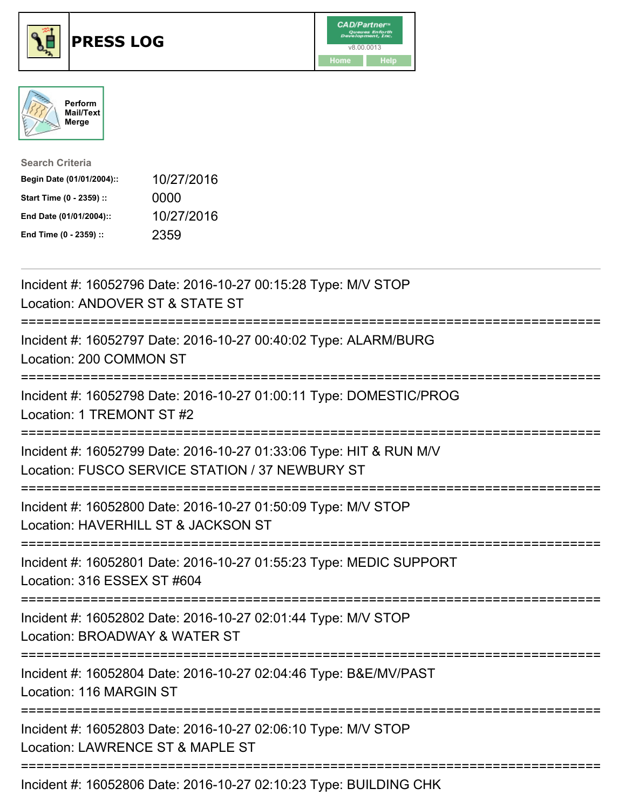





| <b>Search Criteria</b>    |            |
|---------------------------|------------|
| Begin Date (01/01/2004):: | 10/27/2016 |
| Start Time (0 - 2359) ::  | 0000       |
| End Date (01/01/2004)::   | 10/27/2016 |
| End Time (0 - 2359) ::    | 2359       |

| Incident #: 16052796 Date: 2016-10-27 00:15:28 Type: M/V STOP<br>Location: ANDOVER ST & STATE ST                      |
|-----------------------------------------------------------------------------------------------------------------------|
| Incident #: 16052797 Date: 2016-10-27 00:40:02 Type: ALARM/BURG<br>Location: 200 COMMON ST                            |
| Incident #: 16052798 Date: 2016-10-27 01:00:11 Type: DOMESTIC/PROG<br>Location: 1 TREMONT ST #2                       |
| Incident #: 16052799 Date: 2016-10-27 01:33:06 Type: HIT & RUN M/V<br>Location: FUSCO SERVICE STATION / 37 NEWBURY ST |
| Incident #: 16052800 Date: 2016-10-27 01:50:09 Type: M/V STOP<br>Location: HAVERHILL ST & JACKSON ST                  |
| Incident #: 16052801 Date: 2016-10-27 01:55:23 Type: MEDIC SUPPORT<br>Location: 316 ESSEX ST #604                     |
| Incident #: 16052802 Date: 2016-10-27 02:01:44 Type: M/V STOP<br>Location: BROADWAY & WATER ST                        |
| Incident #: 16052804 Date: 2016-10-27 02:04:46 Type: B&E/MV/PAST<br>Location: 116 MARGIN ST                           |
| Incident #: 16052803 Date: 2016-10-27 02:06:10 Type: M/V STOP<br>Location: LAWRENCE ST & MAPLE ST                     |
| Incident #: 16052806 Date: 2016-10-27 02:10:23 Type: BUILDING CHK                                                     |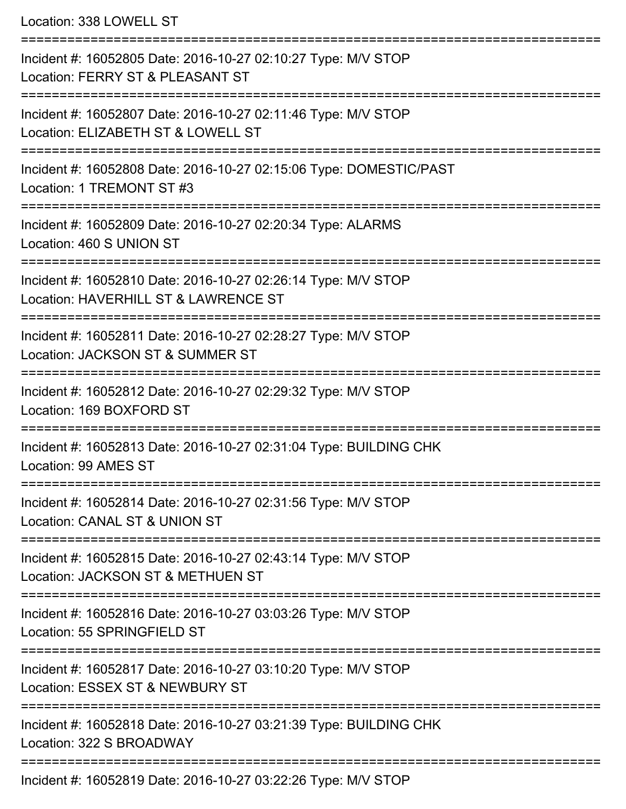Location: 338 LOWELL ST

| Incident #: 16052805 Date: 2016-10-27 02:10:27 Type: M/V STOP<br>Location: FERRY ST & PLEASANT ST     |
|-------------------------------------------------------------------------------------------------------|
| Incident #: 16052807 Date: 2016-10-27 02:11:46 Type: M/V STOP<br>Location: ELIZABETH ST & LOWELL ST   |
| Incident #: 16052808 Date: 2016-10-27 02:15:06 Type: DOMESTIC/PAST<br>Location: 1 TREMONT ST #3       |
| Incident #: 16052809 Date: 2016-10-27 02:20:34 Type: ALARMS<br>Location: 460 S UNION ST               |
| Incident #: 16052810 Date: 2016-10-27 02:26:14 Type: M/V STOP<br>Location: HAVERHILL ST & LAWRENCE ST |
| Incident #: 16052811 Date: 2016-10-27 02:28:27 Type: M/V STOP<br>Location: JACKSON ST & SUMMER ST     |
| Incident #: 16052812 Date: 2016-10-27 02:29:32 Type: M/V STOP<br>Location: 169 BOXFORD ST             |
| Incident #: 16052813 Date: 2016-10-27 02:31:04 Type: BUILDING CHK<br>Location: 99 AMES ST             |
| Incident #: 16052814 Date: 2016-10-27 02:31:56 Type: M/V STOP<br>Location: CANAL ST & UNION ST        |
| Incident #: 16052815 Date: 2016-10-27 02:43:14 Type: M/V STOP<br>Location: JACKSON ST & METHUEN ST    |
| Incident #: 16052816 Date: 2016-10-27 03:03:26 Type: M/V STOP<br>Location: 55 SPRINGFIELD ST          |
| Incident #: 16052817 Date: 2016-10-27 03:10:20 Type: M/V STOP<br>Location: ESSEX ST & NEWBURY ST      |
| Incident #: 16052818 Date: 2016-10-27 03:21:39 Type: BUILDING CHK<br>Location: 322 S BROADWAY         |
| Incident #: 16052819 Date: 2016-10-27 03:22:26 Type: M/V STOP                                         |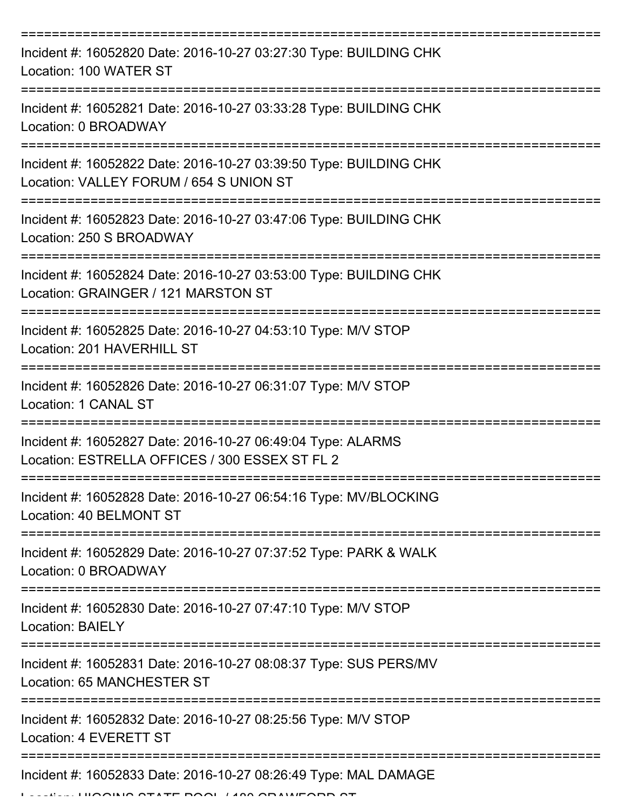| Incident #: 16052820 Date: 2016-10-27 03:27:30 Type: BUILDING CHK<br>Location: 100 WATER ST                                    |
|--------------------------------------------------------------------------------------------------------------------------------|
| Incident #: 16052821 Date: 2016-10-27 03:33:28 Type: BUILDING CHK<br>Location: 0 BROADWAY                                      |
| Incident #: 16052822 Date: 2016-10-27 03:39:50 Type: BUILDING CHK<br>Location: VALLEY FORUM / 654 S UNION ST                   |
| Incident #: 16052823 Date: 2016-10-27 03:47:06 Type: BUILDING CHK<br>Location: 250 S BROADWAY                                  |
| Incident #: 16052824 Date: 2016-10-27 03:53:00 Type: BUILDING CHK<br>Location: GRAINGER / 121 MARSTON ST                       |
| Incident #: 16052825 Date: 2016-10-27 04:53:10 Type: M/V STOP<br>Location: 201 HAVERHILL ST                                    |
| Incident #: 16052826 Date: 2016-10-27 06:31:07 Type: M/V STOP<br>Location: 1 CANAL ST                                          |
| Incident #: 16052827 Date: 2016-10-27 06:49:04 Type: ALARMS<br>Location: ESTRELLA OFFICES / 300 ESSEX ST FL 2                  |
| Incident #: 16052828 Date: 2016-10-27 06:54:16 Type: MV/BLOCKING<br>Location: 40 BELMONT ST                                    |
| Incident #: 16052829 Date: 2016-10-27 07:37:52 Type: PARK & WALK<br>Location: 0 BROADWAY                                       |
| Incident #: 16052830 Date: 2016-10-27 07:47:10 Type: M/V STOP<br><b>Location: BAIELY</b>                                       |
| ============================<br>Incident #: 16052831 Date: 2016-10-27 08:08:37 Type: SUS PERS/MV<br>Location: 65 MANCHESTER ST |
| Incident #: 16052832 Date: 2016-10-27 08:25:56 Type: M/V STOP<br>Location: 4 EVERETT ST                                        |
| Incident #: 16052833 Date: 2016-10-27 08:26:49 Type: MAL DAMAGE<br>INIO OTATE DOOL 1400 ODAINIFODD O                           |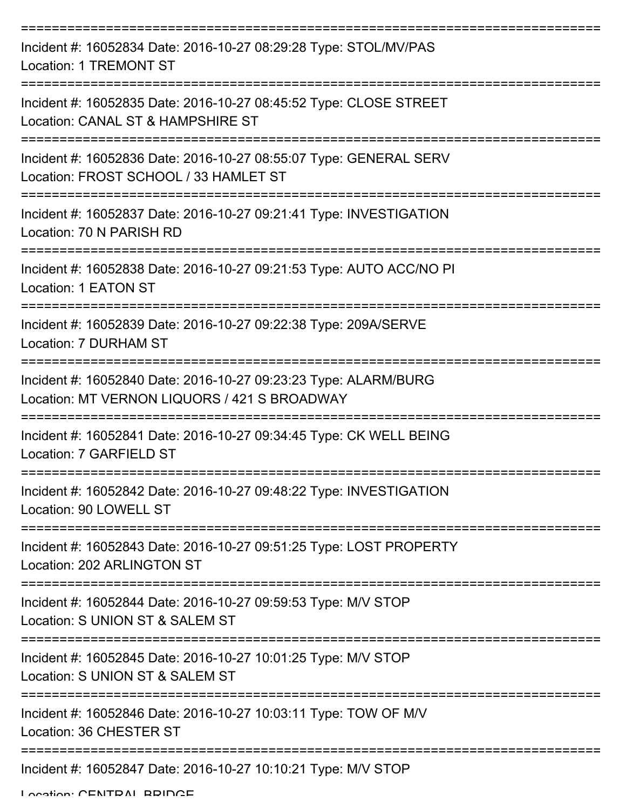| Incident #: 16052834 Date: 2016-10-27 08:29:28 Type: STOL/MV/PAS<br><b>Location: 1 TREMONT ST</b>               |
|-----------------------------------------------------------------------------------------------------------------|
| Incident #: 16052835 Date: 2016-10-27 08:45:52 Type: CLOSE STREET<br>Location: CANAL ST & HAMPSHIRE ST          |
| Incident #: 16052836 Date: 2016-10-27 08:55:07 Type: GENERAL SERV<br>Location: FROST SCHOOL / 33 HAMLET ST      |
| Incident #: 16052837 Date: 2016-10-27 09:21:41 Type: INVESTIGATION<br>Location: 70 N PARISH RD                  |
| Incident #: 16052838 Date: 2016-10-27 09:21:53 Type: AUTO ACC/NO PI<br>Location: 1 EATON ST                     |
| Incident #: 16052839 Date: 2016-10-27 09:22:38 Type: 209A/SERVE<br>Location: 7 DURHAM ST                        |
| Incident #: 16052840 Date: 2016-10-27 09:23:23 Type: ALARM/BURG<br>Location: MT VERNON LIQUORS / 421 S BROADWAY |
| Incident #: 16052841 Date: 2016-10-27 09:34:45 Type: CK WELL BEING<br>Location: 7 GARFIELD ST                   |
| Incident #: 16052842 Date: 2016-10-27 09:48:22 Type: INVESTIGATION<br>Location: 90 LOWELL ST                    |
| Incident #: 16052843 Date: 2016-10-27 09:51:25 Type: LOST PROPERTY<br>Location: 202 ARLINGTON ST                |
| Incident #: 16052844 Date: 2016-10-27 09:59:53 Type: M/V STOP<br>Location: S UNION ST & SALEM ST                |
| Incident #: 16052845 Date: 2016-10-27 10:01:25 Type: M/V STOP<br>Location: S UNION ST & SALEM ST                |
| Incident #: 16052846 Date: 2016-10-27 10:03:11 Type: TOW OF M/V<br>Location: 36 CHESTER ST                      |
| Incident #: 16052847 Date: 2016-10-27 10:10:21 Type: M/V STOP                                                   |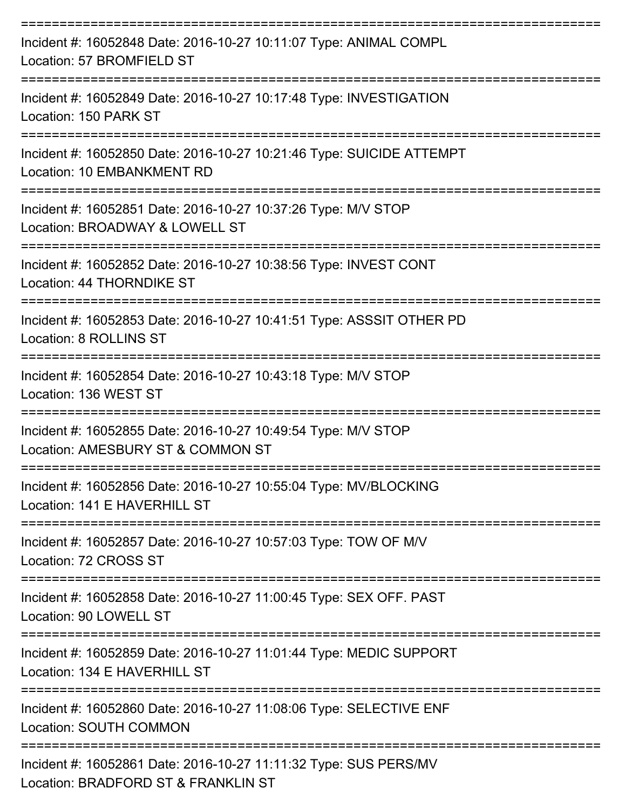| Incident #: 16052848 Date: 2016-10-27 10:11:07 Type: ANIMAL COMPL<br>Location: 57 BROMFIELD ST          |
|---------------------------------------------------------------------------------------------------------|
| Incident #: 16052849 Date: 2016-10-27 10:17:48 Type: INVESTIGATION<br>Location: 150 PARK ST             |
| Incident #: 16052850 Date: 2016-10-27 10:21:46 Type: SUICIDE ATTEMPT<br>Location: 10 EMBANKMENT RD      |
| Incident #: 16052851 Date: 2016-10-27 10:37:26 Type: M/V STOP<br>Location: BROADWAY & LOWELL ST         |
| Incident #: 16052852 Date: 2016-10-27 10:38:56 Type: INVEST CONT<br>Location: 44 THORNDIKE ST           |
| Incident #: 16052853 Date: 2016-10-27 10:41:51 Type: ASSSIT OTHER PD<br>Location: 8 ROLLINS ST          |
| Incident #: 16052854 Date: 2016-10-27 10:43:18 Type: M/V STOP<br>Location: 136 WEST ST                  |
| Incident #: 16052855 Date: 2016-10-27 10:49:54 Type: M/V STOP<br>Location: AMESBURY ST & COMMON ST      |
| Incident #: 16052856 Date: 2016-10-27 10:55:04 Type: MV/BLOCKING<br>Location: 141 E HAVERHILL ST        |
| Incident #: 16052857 Date: 2016-10-27 10:57:03 Type: TOW OF M/V<br>Location: 72 CROSS ST                |
| Incident #: 16052858 Date: 2016-10-27 11:00:45 Type: SEX OFF. PAST<br>Location: 90 LOWELL ST            |
| Incident #: 16052859 Date: 2016-10-27 11:01:44 Type: MEDIC SUPPORT<br>Location: 134 E HAVERHILL ST      |
| Incident #: 16052860 Date: 2016-10-27 11:08:06 Type: SELECTIVE ENF<br><b>Location: SOUTH COMMON</b>     |
| Incident #: 16052861 Date: 2016-10-27 11:11:32 Type: SUS PERS/MV<br>Location: BRADFORD ST & FRANKLIN ST |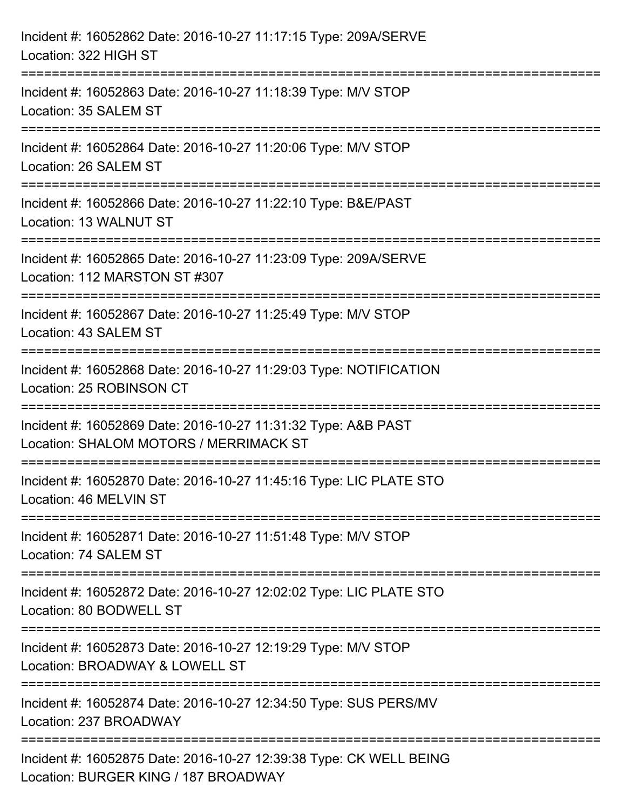| Incident #: 16052862 Date: 2016-10-27 11:17:15 Type: 209A/SERVE<br>Location: 322 HIGH ST                        |
|-----------------------------------------------------------------------------------------------------------------|
| Incident #: 16052863 Date: 2016-10-27 11:18:39 Type: M/V STOP<br>Location: 35 SALEM ST                          |
| Incident #: 16052864 Date: 2016-10-27 11:20:06 Type: M/V STOP<br>Location: 26 SALEM ST                          |
| Incident #: 16052866 Date: 2016-10-27 11:22:10 Type: B&E/PAST<br>Location: 13 WALNUT ST                         |
| Incident #: 16052865 Date: 2016-10-27 11:23:09 Type: 209A/SERVE<br>Location: 112 MARSTON ST #307<br>----------- |
| Incident #: 16052867 Date: 2016-10-27 11:25:49 Type: M/V STOP<br>Location: 43 SALEM ST                          |
| Incident #: 16052868 Date: 2016-10-27 11:29:03 Type: NOTIFICATION<br>Location: 25 ROBINSON CT                   |
| Incident #: 16052869 Date: 2016-10-27 11:31:32 Type: A&B PAST<br>Location: SHALOM MOTORS / MERRIMACK ST         |
| Incident #: 16052870 Date: 2016-10-27 11:45:16 Type: LIC PLATE STO<br>Location: 46 MELVIN ST                    |
| Incident #: 16052871 Date: 2016-10-27 11:51:48 Type: M/V STOP<br>Location: 74 SALEM ST                          |
| Incident #: 16052872 Date: 2016-10-27 12:02:02 Type: LIC PLATE STO<br>Location: 80 BODWELL ST                   |
| Incident #: 16052873 Date: 2016-10-27 12:19:29 Type: M/V STOP<br>Location: BROADWAY & LOWELL ST                 |
| Incident #: 16052874 Date: 2016-10-27 12:34:50 Type: SUS PERS/MV<br>Location: 237 BROADWAY                      |
| Incident #: 16052875 Date: 2016-10-27 12:39:38 Type: CK WELL BEING<br>Location: BURGER KING / 187 BROADWAY      |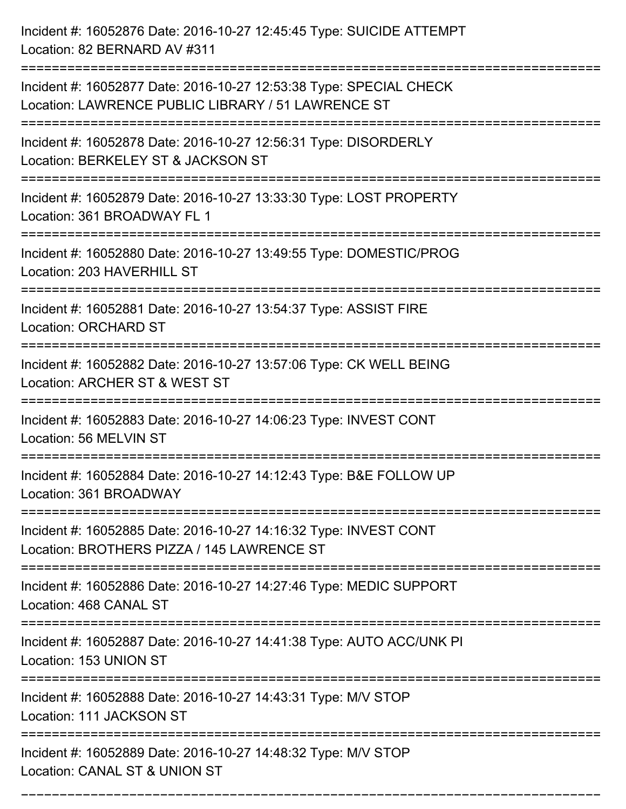| Incident #: 16052876 Date: 2016-10-27 12:45:45 Type: SUICIDE ATTEMPT<br>Location: 82 BERNARD AV #311                                                                                        |
|---------------------------------------------------------------------------------------------------------------------------------------------------------------------------------------------|
| Incident #: 16052877 Date: 2016-10-27 12:53:38 Type: SPECIAL CHECK<br>Location: LAWRENCE PUBLIC LIBRARY / 51 LAWRENCE ST                                                                    |
| Incident #: 16052878 Date: 2016-10-27 12:56:31 Type: DISORDERLY<br>Location: BERKELEY ST & JACKSON ST<br>===============================<br>:============================                   |
| Incident #: 16052879 Date: 2016-10-27 13:33:30 Type: LOST PROPERTY<br>Location: 361 BROADWAY FL 1                                                                                           |
| Incident #: 16052880 Date: 2016-10-27 13:49:55 Type: DOMESTIC/PROG<br>Location: 203 HAVERHILL ST<br>:=============================                                                          |
| Incident #: 16052881 Date: 2016-10-27 13:54:37 Type: ASSIST FIRE<br><b>Location: ORCHARD ST</b>                                                                                             |
| Incident #: 16052882 Date: 2016-10-27 13:57:06 Type: CK WELL BEING<br>Location: ARCHER ST & WEST ST                                                                                         |
| Incident #: 16052883 Date: 2016-10-27 14:06:23 Type: INVEST CONT<br>Location: 56 MELVIN ST                                                                                                  |
| Incident #: 16052884 Date: 2016-10-27 14:12:43 Type: B&E FOLLOW UP<br>Location: 361 BROADWAY                                                                                                |
| Incident #: 16052885 Date: 2016-10-27 14:16:32 Type: INVEST CONT<br>Location: BROTHERS PIZZA / 145 LAWRENCE ST<br>:=====================================<br>:============================== |
| Incident #: 16052886 Date: 2016-10-27 14:27:46 Type: MEDIC SUPPORT<br>Location: 468 CANAL ST                                                                                                |
| Incident #: 16052887 Date: 2016-10-27 14:41:38 Type: AUTO ACC/UNK PI<br>Location: 153 UNION ST<br>================================                                                          |
| Incident #: 16052888 Date: 2016-10-27 14:43:31 Type: M/V STOP<br>Location: 111 JACKSON ST                                                                                                   |
| Incident #: 16052889 Date: 2016-10-27 14:48:32 Type: M/V STOP<br>Location: CANAL ST & UNION ST                                                                                              |

===========================================================================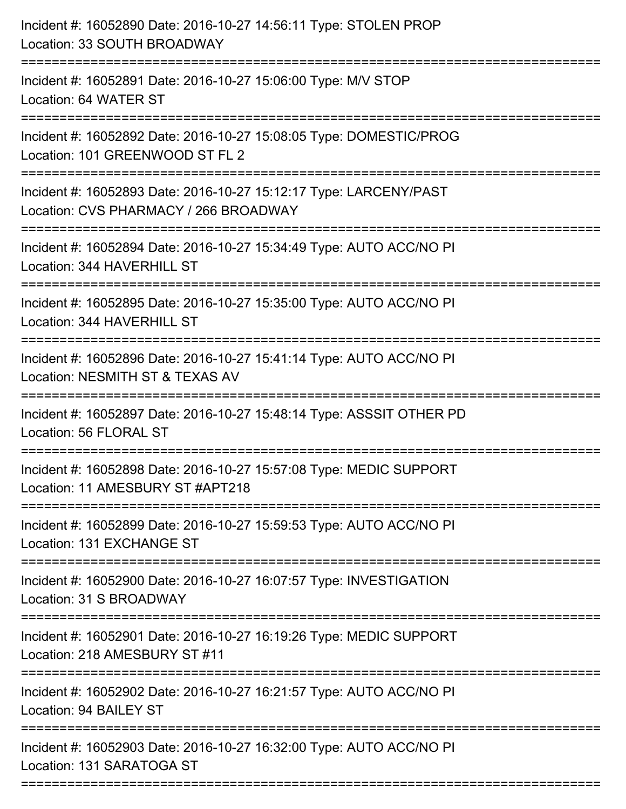| Incident #: 16052890 Date: 2016-10-27 14:56:11 Type: STOLEN PROP<br>Location: 33 SOUTH BROADWAY<br>========================               |
|-------------------------------------------------------------------------------------------------------------------------------------------|
| Incident #: 16052891 Date: 2016-10-27 15:06:00 Type: M/V STOP<br>Location: 64 WATER ST                                                    |
| Incident #: 16052892 Date: 2016-10-27 15:08:05 Type: DOMESTIC/PROG<br>Location: 101 GREENWOOD ST FL 2                                     |
| Incident #: 16052893 Date: 2016-10-27 15:12:17 Type: LARCENY/PAST<br>Location: CVS PHARMACY / 266 BROADWAY<br>=========================== |
| Incident #: 16052894 Date: 2016-10-27 15:34:49 Type: AUTO ACC/NO PI<br>Location: 344 HAVERHILL ST                                         |
| Incident #: 16052895 Date: 2016-10-27 15:35:00 Type: AUTO ACC/NO PI<br>Location: 344 HAVERHILL ST                                         |
| Incident #: 16052896 Date: 2016-10-27 15:41:14 Type: AUTO ACC/NO PI<br>Location: NESMITH ST & TEXAS AV                                    |
| Incident #: 16052897 Date: 2016-10-27 15:48:14 Type: ASSSIT OTHER PD<br>Location: 56 FLORAL ST                                            |
| Incident #: 16052898 Date: 2016-10-27 15:57:08 Type: MEDIC SUPPORT<br>Location: 11 AMESBURY ST #APT218                                    |
| Incident #: 16052899 Date: 2016-10-27 15:59:53 Type: AUTO ACC/NO PI<br>Location: 131 EXCHANGE ST                                          |
| Incident #: 16052900 Date: 2016-10-27 16:07:57 Type: INVESTIGATION<br>Location: 31 S BROADWAY                                             |
| Incident #: 16052901 Date: 2016-10-27 16:19:26 Type: MEDIC SUPPORT<br>Location: 218 AMESBURY ST #11                                       |
| Incident #: 16052902 Date: 2016-10-27 16:21:57 Type: AUTO ACC/NO PI<br>Location: 94 BAILEY ST                                             |
| Incident #: 16052903 Date: 2016-10-27 16:32:00 Type: AUTO ACC/NO PI<br>Location: 131 SARATOGA ST                                          |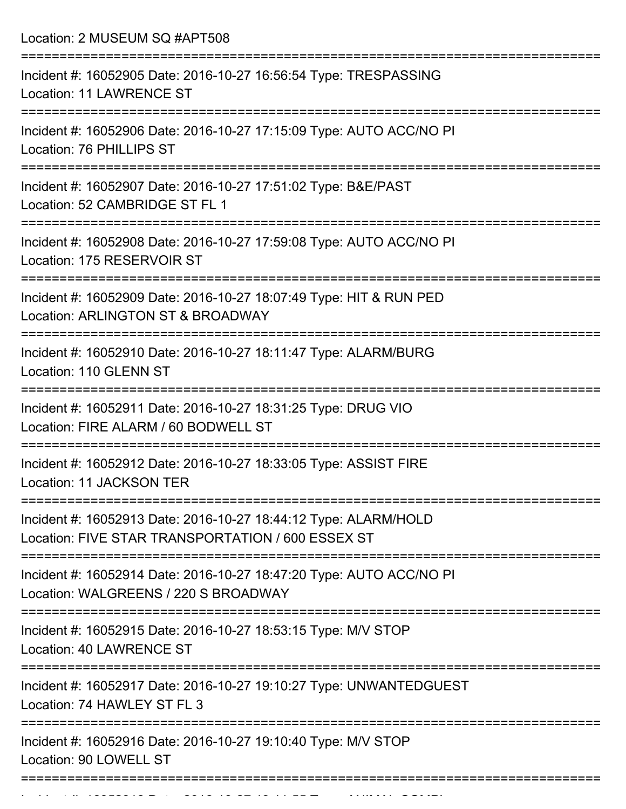Location: 2 MUSEUM SQ #APT508

| Incident #: 16052905 Date: 2016-10-27 16:56:54 Type: TRESPASSING<br><b>Location: 11 LAWRENCE ST</b>                                    |
|----------------------------------------------------------------------------------------------------------------------------------------|
| Incident #: 16052906 Date: 2016-10-27 17:15:09 Type: AUTO ACC/NO PI<br>Location: 76 PHILLIPS ST                                        |
| Incident #: 16052907 Date: 2016-10-27 17:51:02 Type: B&E/PAST<br>Location: 52 CAMBRIDGE ST FL 1                                        |
| Incident #: 16052908 Date: 2016-10-27 17:59:08 Type: AUTO ACC/NO PI<br>Location: 175 RESERVOIR ST                                      |
| Incident #: 16052909 Date: 2016-10-27 18:07:49 Type: HIT & RUN PED<br>Location: ARLINGTON ST & BROADWAY                                |
| Incident #: 16052910 Date: 2016-10-27 18:11:47 Type: ALARM/BURG<br>Location: 110 GLENN ST                                              |
| Incident #: 16052911 Date: 2016-10-27 18:31:25 Type: DRUG VIO<br>Location: FIRE ALARM / 60 BODWELL ST                                  |
| Incident #: 16052912 Date: 2016-10-27 18:33:05 Type: ASSIST FIRE<br>Location: 11 JACKSON TER                                           |
| ==============<br>Incident #: 16052913 Date: 2016-10-27 18:44:12 Type: ALARM/HOLD<br>Location: FIVE STAR TRANSPORTATION / 600 ESSEX ST |
| Incident #: 16052914 Date: 2016-10-27 18:47:20 Type: AUTO ACC/NO PI<br>Location: WALGREENS / 220 S BROADWAY                            |
| Incident #: 16052915 Date: 2016-10-27 18:53:15 Type: M/V STOP<br><b>Location: 40 LAWRENCE ST</b>                                       |
| Incident #: 16052917 Date: 2016-10-27 19:10:27 Type: UNWANTEDGUEST<br>Location: 74 HAWLEY ST FL 3                                      |
| Incident #: 16052916 Date: 2016-10-27 19:10:40 Type: M/V STOP<br>Location: 90 LOWELL ST                                                |
|                                                                                                                                        |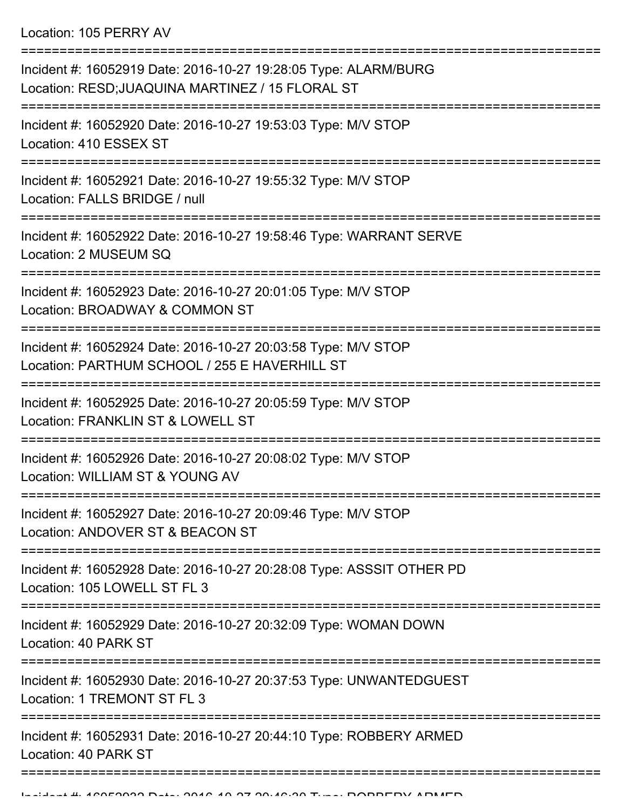Location: 105 PERRY AV

| Incident #: 16052919 Date: 2016-10-27 19:28:05 Type: ALARM/BURG<br>Location: RESD; JUAQUINA MARTINEZ / 15 FLORAL ST |
|---------------------------------------------------------------------------------------------------------------------|
| Incident #: 16052920 Date: 2016-10-27 19:53:03 Type: M/V STOP<br>Location: 410 ESSEX ST                             |
| Incident #: 16052921 Date: 2016-10-27 19:55:32 Type: M/V STOP<br>Location: FALLS BRIDGE / null                      |
| Incident #: 16052922 Date: 2016-10-27 19:58:46 Type: WARRANT SERVE<br>Location: 2 MUSEUM SQ                         |
| Incident #: 16052923 Date: 2016-10-27 20:01:05 Type: M/V STOP<br>Location: BROADWAY & COMMON ST                     |
| Incident #: 16052924 Date: 2016-10-27 20:03:58 Type: M/V STOP<br>Location: PARTHUM SCHOOL / 255 E HAVERHILL ST      |
| Incident #: 16052925 Date: 2016-10-27 20:05:59 Type: M/V STOP<br>Location: FRANKLIN ST & LOWELL ST                  |
| Incident #: 16052926 Date: 2016-10-27 20:08:02 Type: M/V STOP<br>Location: WILLIAM ST & YOUNG AV                    |
| Incident #: 16052927 Date: 2016-10-27 20:09:46 Type: M/V STOP<br>Location: ANDOVER ST & BEACON ST                   |
| Incident #: 16052928 Date: 2016-10-27 20:28:08 Type: ASSSIT OTHER PD<br>Location: 105 LOWELL ST FL 3                |
| Incident #: 16052929 Date: 2016-10-27 20:32:09 Type: WOMAN DOWN<br>Location: 40 PARK ST                             |
| Incident #: 16052930 Date: 2016-10-27 20:37:53 Type: UNWANTEDGUEST<br>Location: 1 TREMONT ST FL 3                   |
| Incident #: 16052931 Date: 2016-10-27 20:44:10 Type: ROBBERY ARMED<br>Location: 40 PARK ST                          |
|                                                                                                                     |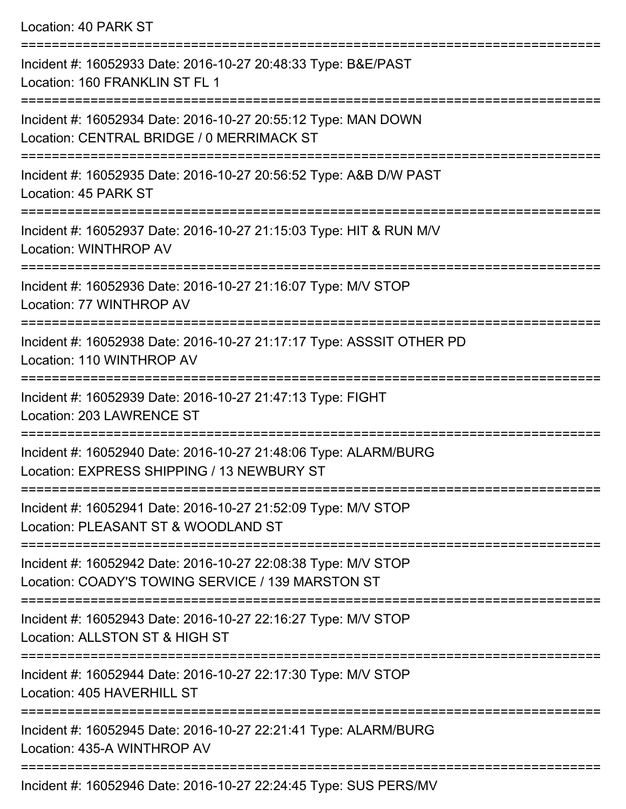Location: 40 PARK ST =========================================================================== Incident #: 16052933 Date: 2016-10-27 20:48:33 Type: B&E/PAST Location: 160 FRANKLIN ST FL 1 =========================================================================== Incident #: 16052934 Date: 2016-10-27 20:55:12 Type: MAN DOWN Location: CENTRAL BRIDGE / 0 MERRIMACK ST =========================================================================== Incident #: 16052935 Date: 2016-10-27 20:56:52 Type: A&B D/W PAST Location: 45 PARK ST =========================================================================== Incident #: 16052937 Date: 2016-10-27 21:15:03 Type: HIT & RUN M/V Location: WINTHROP AV =========================================================================== Incident #: 16052936 Date: 2016-10-27 21:16:07 Type: M/V STOP Location: 77 WINTHROP AV =========================================================================== Incident #: 16052938 Date: 2016-10-27 21:17:17 Type: ASSSIT OTHER PD Location: 110 WINTHROP AV =========================================================================== Incident #: 16052939 Date: 2016-10-27 21:47:13 Type: FIGHT Location: 203 LAWRENCE ST =========================================================================== Incident #: 16052940 Date: 2016-10-27 21:48:06 Type: ALARM/BURG Location: EXPRESS SHIPPING / 13 NEWBURY ST =========================================================================== Incident #: 16052941 Date: 2016-10-27 21:52:09 Type: M/V STOP Location: PLEASANT ST & WOODLAND ST =========================================================================== Incident #: 16052942 Date: 2016-10-27 22:08:38 Type: M/V STOP Location: COADY'S TOWING SERVICE / 139 MARSTON ST =========================================================================== Incident #: 16052943 Date: 2016-10-27 22:16:27 Type: M/V STOP Location: ALLSTON ST & HIGH ST =========================================================================== Incident #: 16052944 Date: 2016-10-27 22:17:30 Type: M/V STOP Location: 405 HAVERHILL ST =========================================================================== Incident #: 16052945 Date: 2016-10-27 22:21:41 Type: ALARM/BURG Location: 435-A WINTHROP AV ===========================================================================

Incident #: 16052946 Date: 2016-10-27 22:24:45 Type: SUS PERS/MV